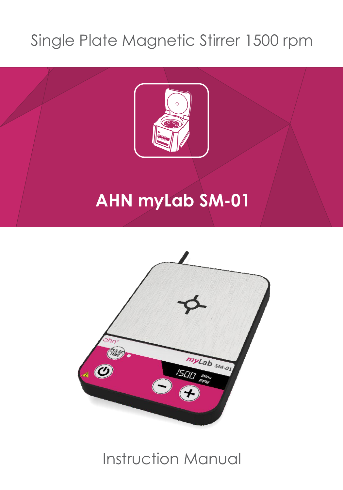## Single Plate Magnetic Stirrer 1500 rpm



# **AHN myLab SM-01**



## Instruction Manual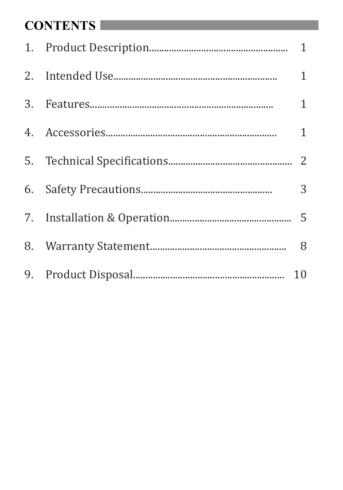#### **CONTENTS**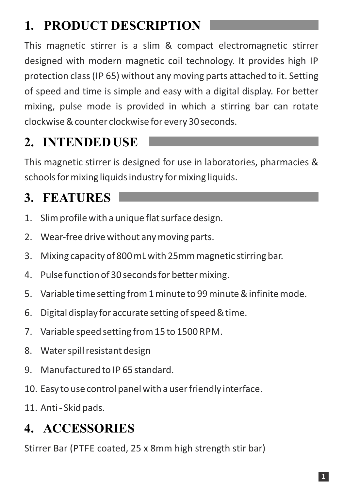## **1. PRODUCT DESCRIPTION**

This magnetic stirrer is a slim & compact electromagnetic stirrer designed with modern magnetic coil technology. It provides high IP protection class (IP 65) without any moving parts attached to it. Setting of speed and time is simple and easy with a digital display. For better mixing, pulse mode is provided in which a stirring bar can rotate clockwise & counter clockwise for every 30 seconds.

#### **2. INTENDED USE**

This magnetic stirrer is designed for use in laboratories, pharmacies & schools for mixing liquids industry for mixing liquids.

#### **3. FEATURES**

- 1. Slim profile with a unique flat surface design.
- 2. Wear‐free drive without any moving parts.
- 3. Mixing capacity of 800 mL with 25mm magnetic stirring bar.
- 4. Pulse function of 30 seconds for better mixing.
- 5. Variable time setting from 1 minute to 99 minute & infinite mode.
- 6. Digital display for accurate setting of speed & time.
- 7. Variable speed setting from 15 to 1500 RPM.
- 8. Water spill resistant design
- 9. Manufactured to IP 65 standard.
- 10. Easy to use control panel with a user friendly interface.
- 11. Anti ‐ Skid pads.

#### **4. ACCESSORIES**

Stirrer Bar (PTFE coated, 25 x 8mm high strength stir bar)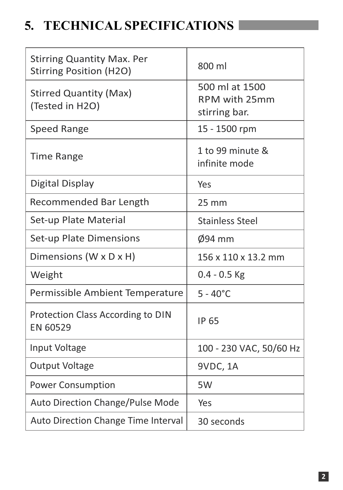#### **5. TECHNICAL SPECIFICATIONS**

| <b>Stirring Quantity Max. Per</b><br><b>Stirring Position (H2O)</b> | 800 ml                                           |
|---------------------------------------------------------------------|--------------------------------------------------|
| <b>Stirred Quantity (Max)</b><br>(Tested in H2O)                    | 500 ml at 1500<br>RPM with 25mm<br>stirring bar. |
| <b>Speed Range</b>                                                  | 15 - 1500 rpm                                    |
| <b>Time Range</b>                                                   | 1 to 99 minute &<br>infinite mode                |
| Digital Display                                                     | Yes                                              |
| Recommended Bar Length                                              | $25 \, \text{mm}$                                |
| Set-up Plate Material                                               | <b>Stainless Steel</b>                           |
| Set-up Plate Dimensions                                             | $\varnothing$ 94 mm                              |
| Dimensions (W x D x H)                                              | 156 x 110 x 13.2 mm                              |
| Weight                                                              | $0.4 - 0.5$ Kg                                   |
| Permissible Ambient Temperature                                     | $5 - 40^{\circ}$ C                               |
| Protection Class According to DIN<br>EN 60529                       | <b>IP 65</b>                                     |
| Input Voltage                                                       | 100 - 230 VAC, 50/60 Hz                          |
| <b>Output Voltage</b>                                               | 9VDC, 1A                                         |
| <b>Power Consumption</b>                                            | 5W                                               |
| Auto Direction Change/Pulse Mode                                    | Yes                                              |
| Auto Direction Change Time Interval                                 | 30 seconds                                       |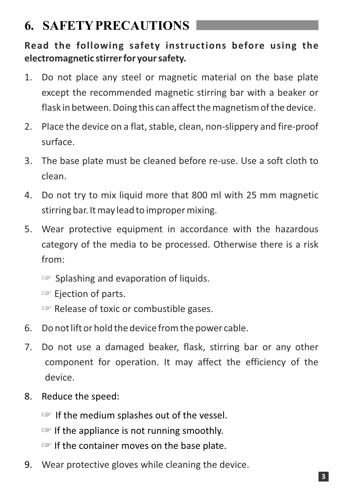#### **6. SAFETYPRECAUTIONS**

**Read the following safety instructions before using the electromagnetic stirrer for your safety.**

- 1. Do not place any steel or magnetic material on the base plate except the recommended magnetic stirring bar with a beaker or flask in between. Doing this can affect the magnetism of the device.
- 2. Place the device on a flat, stable, clean, non‐slippery and fire‐proof surface.
- 3. The base plate must be cleaned before re‐use. Use a soft cloth to clean.
- 4. Do not try to mix liquid more that 800 ml with 25 mm magnetic stirring bar. It may lead to improper mixing.
- 5. Wear protective equipment in accordance with the hazardous category of the media to be processed. Otherwise there is a risk from:
	- ☞ Splashing and evaporation of liquids.
	- ☞ Ejection of parts.
	- ☞ Release of toxic or combustible gases.
- 6. Do not lift or hold the device from the power cable.
- 7. Do not use a damaged beaker, flask, stirring bar or any other component for operation. It may affect the efficiency of the device.
- 8. Reduce the speed:
	- ☞ If the medium splashes out of the vessel.
	- ☞ If the appliance is not running smoothly.
	- ☞ If the container moves on the base plate.
- 9. Wear protective gloves while cleaning the device.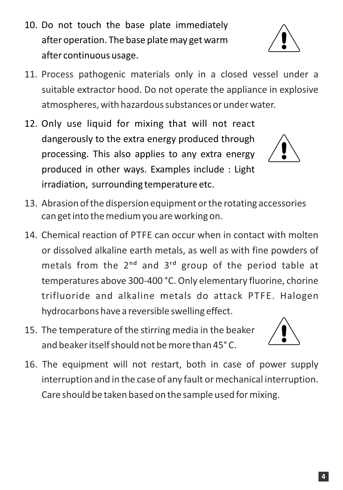- 10. Do not touch the base plate immediately after operation. The base plate may get warm after continuous usage.
- 11. Process pathogenic materials only in a closed vessel under a suitable extractor hood. Do not operate the appliance in explosive atmospheres, with hazardous substances or under water.
- 12. Only use liquid for mixing that will not react dangerously to the extra energy produced through processing. This also applies to any extra energy produced in other ways. Examples include : Light irradiation, surrounding temperature etc.
- 13. Abrasion of the dispersion equipment or the rotating accessories can get into the medium you are working on.
- 14. Chemical reaction of PTFE can occur when in contact with molten or dissolved alkaline earth metals, as well as with fine powders of metals from the  $2<sup>nd</sup>$  and  $3<sup>rd</sup>$  group of the period table at temperatures above 300‐400 °C. Only elementary fluorine, chorine trifluoride and alkaline metals do attack PTFE. Halogen hydrocarbons have a reversible swelling effect.
- 15. The temperature of the stirring media in the beaker and beaker itself should not be more than 45° C.
- 16. The equipment will not restart, both in case of power supply interruption and in the case of any fault or mechanical interruption. Care should be taken based on the sample used for mixing.







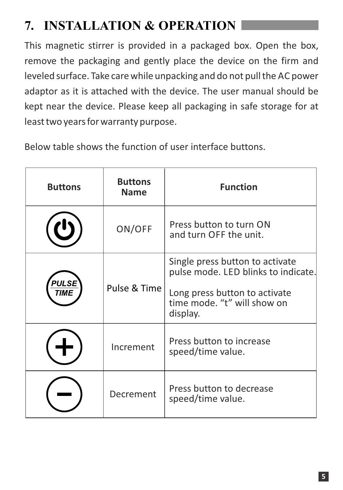## **7. INSTALLATION & OPERATION**

This magnetic stirrer is provided in a packaged box. Open the box, remove the packaging and gently place the device on the firm and leveled surface. Take care while unpacking and do not pull the AC power adaptor as it is attached with the device. The user manual should be kept near the device. Please keep all packaging in safe storage for at least two years for warranty purpose.

Below table shows the function of user interface buttons.

| <b>Buttons</b> | <b>Buttons</b><br><b>Name</b> | <b>Function</b>                                                                                                                                    |
|----------------|-------------------------------|----------------------------------------------------------------------------------------------------------------------------------------------------|
|                | ON/OFF                        | Press button to turn ON<br>and turn OFF the unit.                                                                                                  |
| PULSE          | Pulse & Time                  | Single press button to activate<br>pulse mode. LED blinks to indicate.<br>Long press button to activate<br>time mode. "t" will show on<br>display. |
|                | Increment                     | Press button to increase<br>speed/time value.                                                                                                      |
|                | Decrement                     | Press button to decrease<br>speed/time value.                                                                                                      |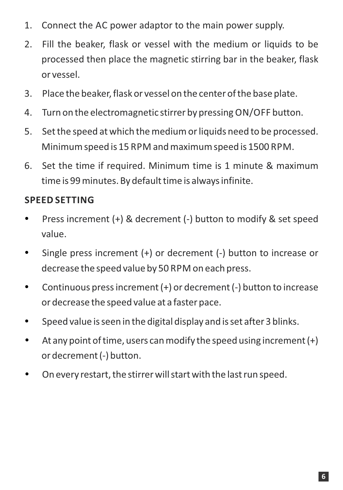- 1. Connect the AC power adaptor to the main power supply.
- 2. Fill the beaker, flask or vessel with the medium or liquids to be processed then place the magnetic stirring bar in the beaker, flask or vessel.
- 3. Place the beaker, flask or vessel on the center of the base plate.
- 4. Turn on the electromagnetic stirrer by pressing ON/OFF button.
- 5. Set the speed at which the medium or liquids need to be processed. Minimum speed is 15 RPM and maximum speed is 1500 RPM.
- 6. Set the time if required. Minimum time is 1 minute & maximum time is 99 minutes. By default time is always infinite.

#### **SPEED SETTING**

- Press increment (+) & decrement (‐) button to modify & set speed value.
- Single press increment (+) or decrement (-) button to increase or decrease the speed value by 50 RPM on each press.
- Continuous press increment (+) or decrement (‐) button to increase or decrease the speed value at a faster pace.
- Speed value is seen in the digital display and is set after 3 blinks.
- $\bullet$  At any point of time, users can modify the speed using increment  $(+)$ or decrement (‐) button.
- On every restart, the stirrer will start with the last run speed.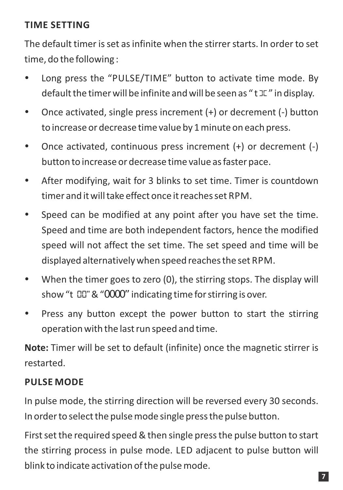#### **TIME SETTING**

The default timer is set as infinite when the stirrer starts. In order to set time, do the following :

- Long press the "PULSE/TIME" button to activate time mode. By default the timer will be infinite and will be seen as " $t \mathbb{R}$ " in display.
- Once activated, single press increment (+) or decrement (‐) button to increase or decrease time value by 1 minute on each press.
- Once activated, continuous press increment (+) or decrement (‐) button to increase or decrease time value as faster pace.
- After modifying, wait for 3 blinks to set time. Timer is countdown timer and it will take effect once it reaches set RPM.
- Speed can be modified at any point after you have set the time. Speed and time are both independent factors, hence the modified speed will not affect the set time. The set speed and time will be displayed alternatively when speed reaches the set RPM.
- When the timer goes to zero (0), the stirring stops. The display will show "t *00"*& "*0000"* indicating time for stirring is over.
- Press any button except the power button to start the stirring operation with the last run speed and time.

**Note:** Timer will be set to default (infinite) once the magnetic stirrer is restarted.

#### **PULSE MODE**

In pulse mode, the stirring direction will be reversed every 30 seconds. In order to select the pulse mode single press the pulse button.

First set the required speed & then single press the pulse button to start the stirring process in pulse mode. LED adjacent to pulse button will blink to indicate activation of the pulse mode.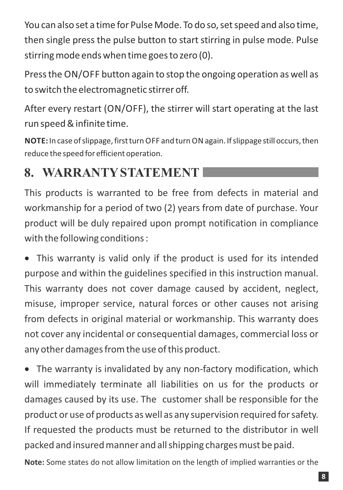You can also set a time for Pulse Mode. To do so, set speed and also time, then single press the pulse button to start stirring in pulse mode. Pulse stirring mode ends when time goes to zero (0).

Press the ON/OFF button again to stop the ongoing operation as well as to switch the electromagnetic stirrer off.

After every restart (ON/OFF), the stirrer will start operating at the last run speed & infinite time.

**NOTE:** In case of slippage, first turn OFF and turn ONagain. If slippage still occurs, then reduce the speed for efficient operation.

#### **8. WARRANTYSTATEMENT**

This products is warranted to be free from defects in material and workmanship for a period of two (2) years from date of purchase. Your product will be duly repaired upon prompt notification in compliance with the following conditions :

 This warranty is valid only if the product is used for its intended purpose and within the guidelines specified in this instruction manual. This warranty does not cover damage caused by accident, neglect, misuse, improper service, natural forces or other causes not arising from defects in original material or workmanship. This warranty does not cover any incidental or consequential damages, commercial loss or any other damages from the use of this product.

■ The warranty is invalidated by any non-factory modification, which will immediately terminate all liabilities on us for the products or damages caused by its use. The customer shall be responsible for the product or use of products as well as any supervision required for safety. If requested the products must be returned to the distributor in well packed and insured manner and all shipping charges must be paid.

**Note:** Some states do not allow limitation on the length of implied warranties or the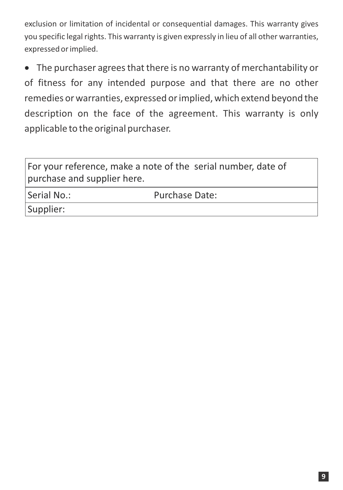exclusion or limitation of incidental or consequential damages. This warranty gives you specific legal rights. This warranty is given expressly in lieu of all other warranties, expressed or implied.

 The purchaser agrees that there is no warranty of merchantability or of fitness for any intended purpose and that there are no other remedies or warranties, expressed or implied, which extend beyond the description on the face of the agreement. This warranty is only applicable to the original purchaser.

For your reference, make a note of the serial number, date of purchase and supplier here.

Serial No.:

Purchase Date:

Supplier: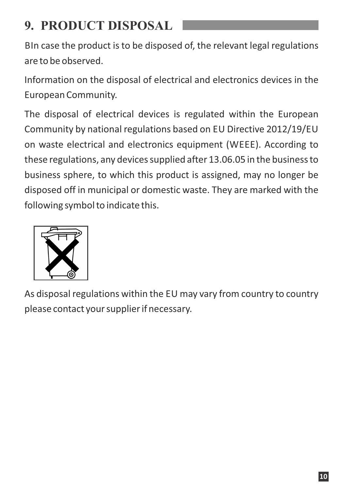#### **9. PRODUCT DISPOSAL**

BIn case the product is to be disposed of, the relevant legal regulations are to be observed.

Information on the disposal of electrical and electronics devices in the European Community.

The disposal of electrical devices is regulated within the European Community by national regulations based on EU Directive 2012/19/EU on waste electrical and electronics equipment (WEEE). According to these regulations, any devices supplied after 13.06.05 in the business to business sphere, to which this product is assigned, may no longer be disposed off in municipal or domestic waste. They are marked with the following symbol to indicate this.



As disposal regulations within the EU may vary from country to country please contact your supplier if necessary.